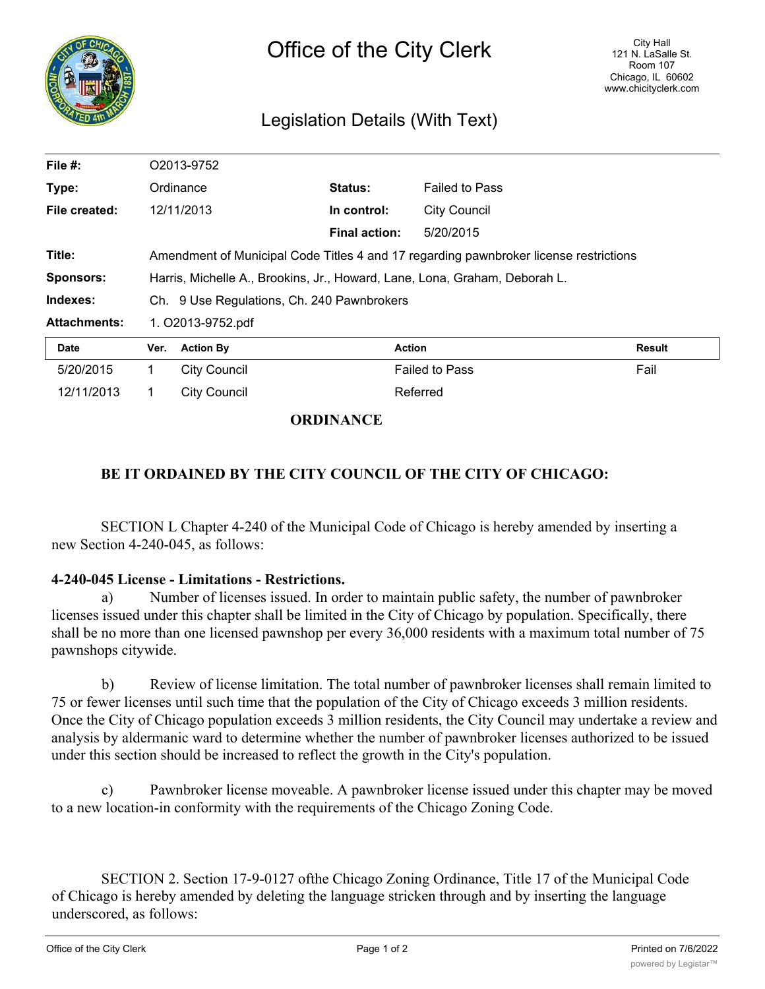

## Legislation Details (With Text)

| File #:             | O2013-9752                                                                            |                     |                      |                       |               |
|---------------------|---------------------------------------------------------------------------------------|---------------------|----------------------|-----------------------|---------------|
| Type:               |                                                                                       | Ordinance           | Status:              | <b>Failed to Pass</b> |               |
| File created:       |                                                                                       | 12/11/2013          | In control:          | <b>City Council</b>   |               |
|                     |                                                                                       |                     | <b>Final action:</b> | 5/20/2015             |               |
| Title:              | Amendment of Municipal Code Titles 4 and 17 regarding pawnbroker license restrictions |                     |                      |                       |               |
| <b>Sponsors:</b>    | Harris, Michelle A., Brookins, Jr., Howard, Lane, Lona, Graham, Deborah L.            |                     |                      |                       |               |
| Indexes:            | Ch. 9 Use Regulations, Ch. 240 Pawnbrokers                                            |                     |                      |                       |               |
| <b>Attachments:</b> | 1. O2013-9752.pdf                                                                     |                     |                      |                       |               |
| Date                | Ver.                                                                                  | <b>Action By</b>    |                      | <b>Action</b>         | <b>Result</b> |
| 5/20/2015           | 1.                                                                                    | <b>City Council</b> |                      | <b>Failed to Pass</b> | Fail          |
| 12/11/2013          |                                                                                       | <b>City Council</b> |                      | Referred              |               |

## **ORDINANCE**

## **BE IT ORDAINED BY THE CITY COUNCIL OF THE CITY OF CHICAGO:**

SECTION L Chapter 4-240 of the Municipal Code of Chicago is hereby amended by inserting a new Section 4-240-045, as follows:

## **4-240-045 License - Limitations - Restrictions.**

Number of licenses issued. In order to maintain public safety, the number of pawnbroker licenses issued under this chapter shall be limited in the City of Chicago by population. Specifically, there shall be no more than one licensed pawnshop per every 36,000 residents with a maximum total number of 75 pawnshops citywide.

b) Review of license limitation. The total number of pawnbroker licenses shall remain limited to 75 or fewer licenses until such time that the population of the City of Chicago exceeds 3 million residents. Once the City of Chicago population exceeds 3 million residents, the City Council may undertake a review and analysis by aldermanic ward to determine whether the number of pawnbroker licenses authorized to be issued under this section should be increased to reflect the growth in the City's population.

c) Pawnbroker license moveable. A pawnbroker license issued under this chapter may be moved to a new location-in conformity with the requirements of the Chicago Zoning Code.

SECTION 2. Section 17-9-0127 ofthe Chicago Zoning Ordinance, Title 17 of the Municipal Code of Chicago is hereby amended by deleting the language stricken through and by inserting the language underscored, as follows: